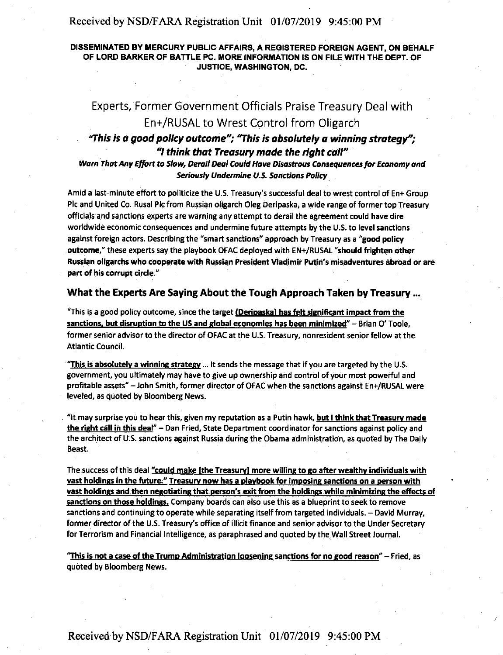#### Received by NSD/FARA Registration Unit 01/07/2019 9:45:00 PM

#### DISSEMINATED BY MERCURY PUBLIC AFFAIRS, A REGISTERED FOREIGN AGENT, ON BEHALF OF LORD BARKER OF BATTLE PC. MORE INFORMATION IS ON FILE WITH THE DEPT. OF JUSTICE, **WASHINGTON,** DC.

# Experts, Former Government Officials Praise Treasury Deal with En+/RUSAL to Wrest Control from Oligarch

## *"This is* **a** *good policy outcome"; "This is absolutely a winning strategy";*  "I *think that Treasury made the right call"* ·

#### **Warn That Any El/art** *ta* **Slaw, Derail Deal Could Have Disastrous Consequences far Economy and Seriously Undermine U.S. Sanctions Policy.**

Amid a last-minute effort to politicize the U.S. Treasury's successful deal to wrest control of En+ Group Pic and United Co. Rusal Pic from Russian oligarch Oleg Deripaska, a wide range of former top Treasury officials and sanctions experts are warning any attempt to derail the agreement could have dire worldwide economic consequences and undermine future attempts by the U.S. to level sanctions against foreign actors. Describing the "smart sanctions" approach by Treasury as a **"good** policy **outcome,"** these experts say the playbook OFAC deployed with EN+/RUSAL **"should frighten other**  Russian oligarchs who cooperate with Russian President Vladimir Putin's misadventures abroad or are **part of his corrupt** circle."

#### **What the Experts Are Saying About the Tough Approach Taken by Treasury** ...

"This is **a** good policy outcome, since the target **(Deripaskal has felt significant impact from the**  sanctions, but disruption to the US and global economies has been minimized" - Brian O' Toole, former senior advisor to the director of OFAC at the U.S. Treasury, nonresident senior fellow at the Atlantic Council.

"This is absolutely a winning strategy ... It sends the message that if you are targeted by the U.S. government, you ultimately may have to give up ownership and control of your most powerful and profitable assets" -John Smith, former director of OFAC when the sanctions against En+/RUSAL were leveled, as quoted by Bloomberg News.

. "It may surprise you to hear this, given my reputation as a Putin hawk, **but** I think **that Treasury made the.right call in** this **deal"** - Dan Fried, State Department coordinator for sanctions against policy and the architect of U.S. sanctions against Russia during the Obama administration, as quoted by The Daily Beast.

The success of this deal **"could make [the Treasury) more willing to go after wealthy individuals with vast holdings in the future," Treasury now has a playbook for imposing sanctions on a person with vast holdings and then negotiating that person's exit from the holdings while minimizing the effects of**  sanctions on those holdings. Company boards can also use this as a blueprint to seek to remove sanctions and continuing to operate while separating itself from targeted individuals. - David Murray, former director of the U.S. Treasury's office of illicit finance and senior advisor to the Under Secretary for Terrorism and Financial Intelligence, as paraphrased and quoted by the,Wall Street Journal.

**"This is not a case of the Trump Administration loosening sanctions for no good reason"** - Fried, as quoted by Bloomberg News.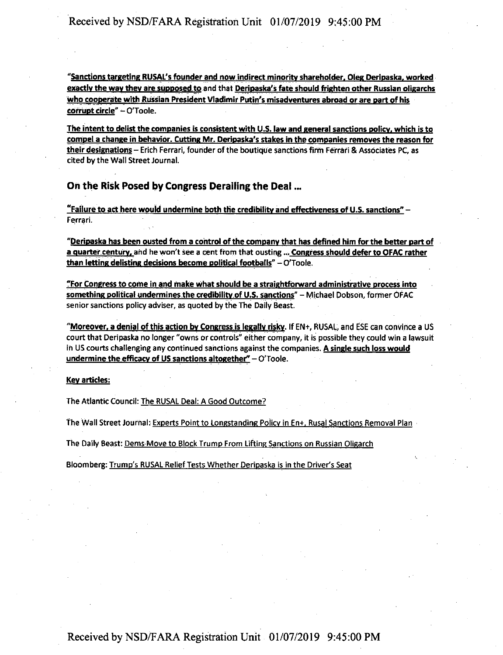"Sanctions targeting RUSAL's founder and now indirect minority shareholder, Oleg Deripaska, worked exactly the way they are supposed to and that Deripaska's fate should frighten other Russian oligarchs who cooperate with Russian President Vladimir Putin's misadventures abroad or are part of his corrupt circle" - O'Toole.

The intent to delist the companies is consistent with U.S. law and general sanctions policy. which is to compela change in behavior. Cutting Mr. Deripaska's stakes in the companies removes the reason for their designations - Erich Ferrari, founder of the boutique sanctions firm Ferrari & Associates PC, as cited by the Wall Street Journal.

#### On the Risk Posed by Congress Derailing the Deal ...

"Failure to act here would undermine both the credibility and effectiveness of U.S. sanctions" -Ferrari.

**"Deripaska has been ousted from a control of the company that has defined** him **for the better part of a quarter.century.** and he won't see a cent from that ousting ••• **Congress should defer to OFAC rather than letting delisting decisions become political footballs" - O'Toole.** 

**"For Congress to come** in **and make what should be a straightforward administrative process into something political undermines the credibility of U.S. sanctions"** - Mi\_chael Dobson, former OFAC senior sanctions policy adviser, as quoted by the The Daily Beast.

**"Moreover, a denial of this action by Congressis legally risky.** If EN+, RUSAL, and ESE can convince **a** US court that Deripaska no longer "owns or controls" either company, it is possible they could win a lawsuit in US courts challenging any continued sanctions against the companies. **A single such loss would undermine the efficacy of US sanctions altogether"** – O'Toole.

#### **Key articles:**

The Atlantic Council: The RUSAL Deal: A Good Outcome?

The Wall Street Journal: Experts Point to Longstanding Policy in En+, Rusal Sanctions Removal Plan .

The Daily Beast: Dems-Move to Block Trump From Lifting Sanctions on Russian Oligarch

Bloomberg: Trump's RUSAL Relief Tests Whether Deripaska is in the Driver's Seat